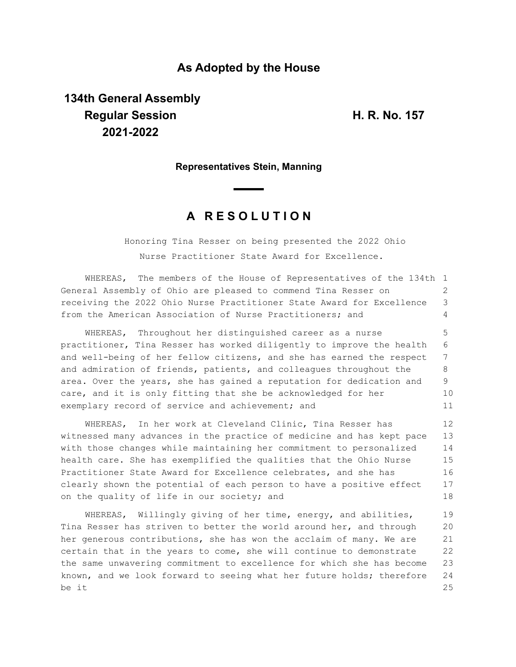## **As Adopted by the House**

# **134th General Assembly Regular Session H. R. No. 157 2021-2022**

### **Representatives Stein, Manning**

## **A R E S O L U T I O N**

Honoring Tina Resser on being presented the 2022 Ohio Nurse Practitioner State Award for Excellence.

WHEREAS, The members of the House of Representatives of the 134th 1 General Assembly of Ohio are pleased to commend Tina Resser on receiving the 2022 Ohio Nurse Practitioner State Award for Excellence from the American Association of Nurse Practitioners; and  $\mathcal{D}$ 3 4

WHEREAS, Throughout her distinguished career as a nurse practitioner, Tina Resser has worked diligently to improve the health and well-being of her fellow citizens, and she has earned the respect and admiration of friends, patients, and colleagues throughout the area. Over the years, she has gained a reputation for dedication and care, and it is only fitting that she be acknowledged for her exemplary record of service and achievement; and 5 6 7 8 9 10 11

WHEREAS, In her work at Cleveland Clinic, Tina Resser has witnessed many advances in the practice of medicine and has kept pace with those changes while maintaining her commitment to personalized health care. She has exemplified the qualities that the Ohio Nurse Practitioner State Award for Excellence celebrates, and she has clearly shown the potential of each person to have a positive effect on the quality of life in our society; and 12 13 14 15 16 17 18

WHEREAS, Willingly giving of her time, energy, and abilities, Tina Resser has striven to better the world around her, and through her generous contributions, she has won the acclaim of many. We are certain that in the years to come, she will continue to demonstrate the same unwavering commitment to excellence for which she has become known, and we look forward to seeing what her future holds; therefore be it 19 20 21 22 23 24 25